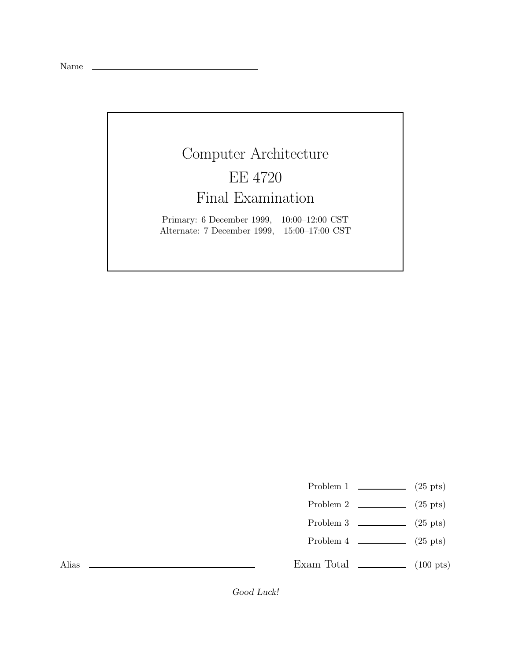Name

## Computer Architecture EE 4720 Final Examination

Primary: 6 December 1999, 10:00–12:00 CST Alternate: 7 December 1999, 15:00–17:00 CST

Problem 1  $\qquad \qquad$  (25 pts)

- Problem 2  $\qquad \qquad$  (25 pts)
- Problem 3  $\qquad \qquad (25 \text{ pts})$
- Problem 4  $\qquad \qquad (25 \text{ pts})$

Exam Total  $\qquad \qquad$  (100 pts)

Alias

*Good Luck!*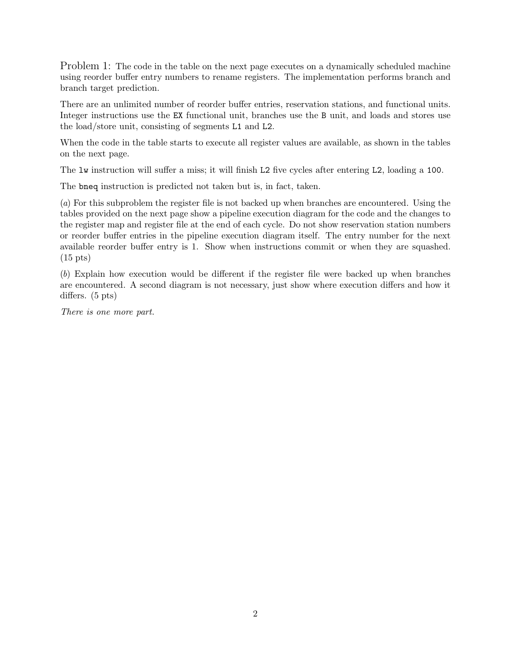Problem 1: The code in the table on the next page executes on a dynamically scheduled machine using reorder buffer entry numbers to rename registers. The implementation performs branch and branch target prediction.

There are an unlimited number of reorder buffer entries, reservation stations, and functional units. Integer instructions use the EX functional unit, branches use the B unit, and loads and stores use the load/store unit, consisting of segments L1 and L2.

When the code in the table starts to execute all register values are available, as shown in the tables on the next page.

The lw instruction will suffer a miss; it will finish L2 five cycles after entering L2, loading a 100.

The bneq instruction is predicted not taken but is, in fact, taken.

(a) For this subproblem the register file is not backed up when branches are encountered. Using the tables provided on the next page show a pipeline execution diagram for the code and the changes to the register map and register file at the end of each cycle. Do not show reservation station numbers or reorder buffer entries in the pipeline execution diagram itself. The entry number for the next available reorder buffer entry is 1. Show when instructions commit or when they are squashed. (15 pts)

(b) Explain how execution would be different if the register file were backed up when branches are encountered. A second diagram is not necessary, just show where execution differs and how it differs. (5 pts)

There is one more part.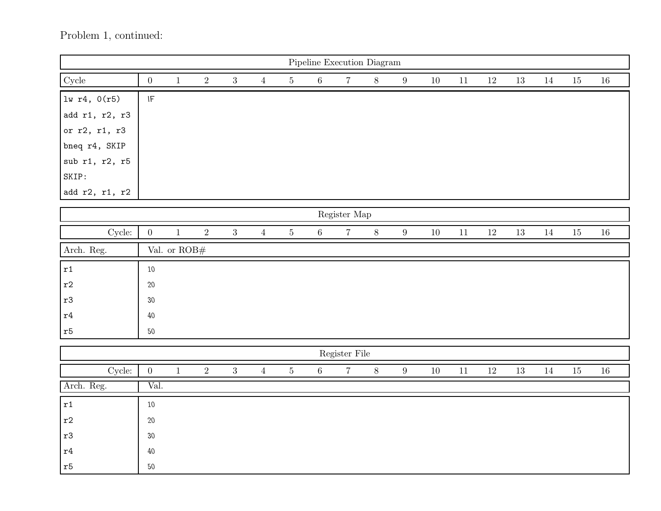## Problem 1, continued:

| Pipeline Execution Diagram |                            |                        |            |                |                |         |         |                 |       |                  |        |        |        |        |        |        |        |
|----------------------------|----------------------------|------------------------|------------|----------------|----------------|---------|---------|-----------------|-------|------------------|--------|--------|--------|--------|--------|--------|--------|
| ${\rm Cycle}$              | $\boldsymbol{0}$           | $\mathbf{1}$           | $\sqrt{2}$ | $\sqrt{3}$     | $\overline{4}$ | $\bf 5$ | $6\,$   | $7\overline{ }$ | $8\,$ | $9\,$            | $10\,$ | $11\,$ | $12\,$ | $13\,$ | $14\,$ | $15\,$ | $16\,$ |
| $lw$ r4, $0(r5)$           | $\ensuremath{\mathsf{IF}}$ |                        |            |                |                |         |         |                 |       |                  |        |        |        |        |        |        |        |
| add r1, r2, r3             |                            |                        |            |                |                |         |         |                 |       |                  |        |        |        |        |        |        |        |
| or r2, r1, r3              |                            |                        |            |                |                |         |         |                 |       |                  |        |        |        |        |        |        |        |
| bneq r4, SKIP              |                            |                        |            |                |                |         |         |                 |       |                  |        |        |        |        |        |        |        |
| sub r1, r2, r5             |                            |                        |            |                |                |         |         |                 |       |                  |        |        |        |        |        |        |        |
| SKIP:                      |                            |                        |            |                |                |         |         |                 |       |                  |        |        |        |        |        |        |        |
| add r2, r1, r2             |                            |                        |            |                |                |         |         |                 |       |                  |        |        |        |        |        |        |        |
| Register Map               |                            |                        |            |                |                |         |         |                 |       |                  |        |        |        |        |        |        |        |
| Cycle:                     | $\boldsymbol{0}$           | $\mathbf{1}$           | $\sqrt{2}$ | $\sqrt{3}$     | $\overline{4}$ | $\bf 5$ | $6\,$   | $\overline{7}$  | $8\,$ | $\boldsymbol{9}$ | $10\,$ | $11\,$ | $12\,$ | $13\,$ | $14\,$ | $15\,$ | $16\,$ |
| Arch. Reg.                 |                            | Val. or $\text{ROB}\#$ |            |                |                |         |         |                 |       |                  |        |        |        |        |        |        |        |
| $\mathtt{r1}$              | $10\,$                     |                        |            |                |                |         |         |                 |       |                  |        |        |        |        |        |        |        |
| $\mathtt{r}2$              | $20\,$                     |                        |            |                |                |         |         |                 |       |                  |        |        |        |        |        |        |        |
| $^{\rm r3}$                | $30\,$                     |                        |            |                |                |         |         |                 |       |                  |        |        |        |        |        |        |        |
| $\mathtt{r}4$              | $40\,$                     |                        |            |                |                |         |         |                 |       |                  |        |        |        |        |        |        |        |
| $\mathtt{r}5$              | $50\,$                     |                        |            |                |                |         |         |                 |       |                  |        |        |        |        |        |        |        |
| Register File              |                            |                        |            |                |                |         |         |                 |       |                  |        |        |        |        |        |        |        |
|                            |                            |                        |            |                |                |         |         |                 |       |                  |        |        |        |        |        |        |        |
| Cycle:                     | $\boldsymbol{0}$           | $\,1\,$                | $\sqrt{2}$ | $\overline{3}$ | $\overline{4}$ | $\bf 5$ | $\,6\,$ | $\overline{7}$  | $8\,$ | $\boldsymbol{9}$ | $10\,$ | $11\,$ | $12\,$ | $13\,$ | $14\,$ | $15\,$ | $16\,$ |
| Arch. Reg.                 | Val.                       |                        |            |                |                |         |         |                 |       |                  |        |        |        |        |        |        |        |
| $\mathtt{r1}$              | $10\,$                     |                        |            |                |                |         |         |                 |       |                  |        |        |        |        |        |        |        |
| $\mathtt{r}2$              | $20\,$                     |                        |            |                |                |         |         |                 |       |                  |        |        |        |        |        |        |        |
| $^{\rm r3}$                | $30\,$                     |                        |            |                |                |         |         |                 |       |                  |        |        |        |        |        |        |        |
| $\mathtt{r}4$              | $40\,$                     |                        |            |                |                |         |         |                 |       |                  |        |        |        |        |        |        |        |
| $\mathtt{r}5$              | $50\,$                     |                        |            |                |                |         |         |                 |       |                  |        |        |        |        |        |        |        |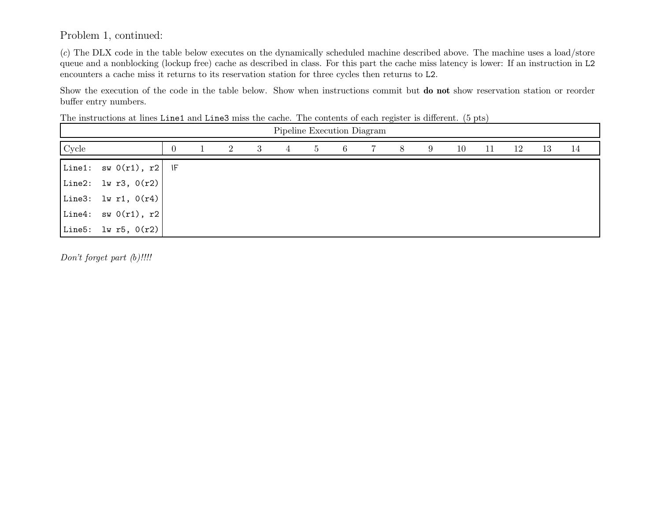Problem 1, continued:

(c) The DLX code in the table below executes on the dynamically scheduled machine described above. The machine uses <sup>a</sup> load/store queue and <sup>a</sup> nonblocking (lockup free) cache as described in class. For this part the cache miss latency is lower: If an instruction in L2 encounters <sup>a</sup> cache miss it returns to its reservation station for three cycles then returns to L2.

Show the execution of the code in the table below. Show when instructions commit but **do not** show reservation station or reorder buffer entry numbers.

The instructions at lines Line1 and Line3 miss the cache. The contents of each register is different. (5 pts)

| Pipeline Execution Diagram |                                   |  |  |                |   |   |    |    |   |   |   |    |    |    |    |    |
|----------------------------|-----------------------------------|--|--|----------------|---|---|----|----|---|---|---|----|----|----|----|----|
| Cycle                      |                                   |  |  | $\overline{2}$ | 3 | 4 | -5 | -6 | 7 | 8 | 9 | 10 | 11 | 12 | 13 | 14 |
|                            | Line1: $sw O(r1)$ , $r2$ IF       |  |  |                |   |   |    |    |   |   |   |    |    |    |    |    |
|                            | Line2: $\frac{1}{2}$ Iw r3, 0(r2) |  |  |                |   |   |    |    |   |   |   |    |    |    |    |    |
|                            | Line3: lw r1, $0(r4)$             |  |  |                |   |   |    |    |   |   |   |    |    |    |    |    |
|                            | Line4: $sw(0r1), r2$              |  |  |                |   |   |    |    |   |   |   |    |    |    |    |    |
|                            | Line5: $1w r5, 0(r2)$             |  |  |                |   |   |    |    |   |   |   |    |    |    |    |    |

Don't forget part (b)!!!!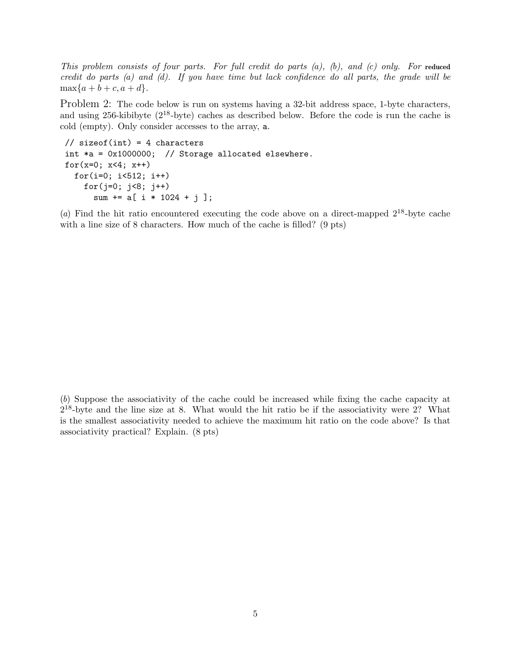This problem consists of four parts. For full credit do parts (a), (b), and (c) only. For **reduced** credit do parts (a) and (d). If you have time but lack confidence do all parts, the grade will be  $\max\{a + b + c, a + d\}.$ 

Problem 2: The code below is run on systems having a 32-bit address space, 1-byte characters, and using 256-kibibyte (2<sup>18</sup>-byte) caches as described below. Before the code is run the cache is cold (empty). Only consider accesses to the array, a.

```
// sizeof(int) = 4 characters
int *a = 0x1000000; // Storage allocated elsewhere.
for(x=0; x<4; x++)
 for(i=0; i<512; i++)
    for(j=0; j<8; j++)
      sum += a[ i * 1024 + j ];
```
(a) Find the hit ratio encountered executing the code above on a direct-mapped  $2^{18}$ -byte cache with a line size of 8 characters. How much of the cache is filled? (9 pts)

(b) Suppose the associativity of the cache could be increased while fixing the cache capacity at  $2^{18}$ -byte and the line size at 8. What would the hit ratio be if the associativity were 2? What is the smallest associativity needed to achieve the maximum hit ratio on the code above? Is that associativity practical? Explain. (8 pts)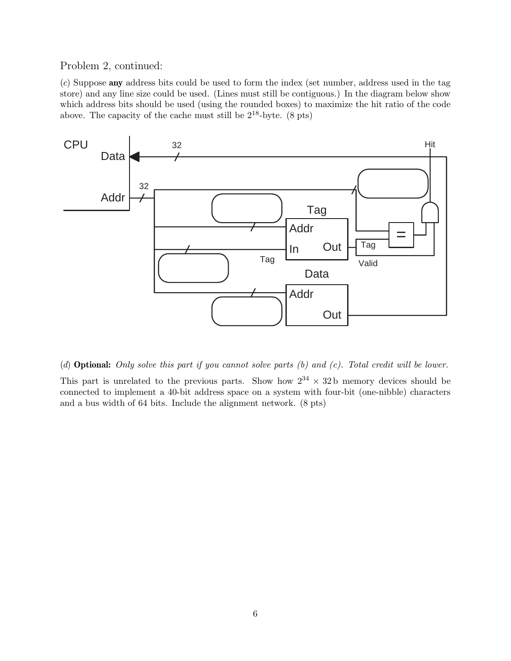Problem 2, continued:

(c) Suppose **any** address bits could be used to form the index (set number, address used in the tag store) and any line size could be used. (Lines must still be contiguous.) In the diagram below show which address bits should be used (using the rounded boxes) to maximize the hit ratio of the code above. The capacity of the cache must still be  $2^{18}$ -byte.  $(8 \text{ pts})$ 



(d) **Optional:** Only solve this part if you cannot solve parts (b) and (c). Total credit will be lower.

This part is unrelated to the previous parts. Show how  $2^{34} \times 32b$  memory devices should be connected to implement a 40-bit address space on a system with four-bit (one-nibble) characters and a bus width of 64 bits. Include the alignment network. (8 pts)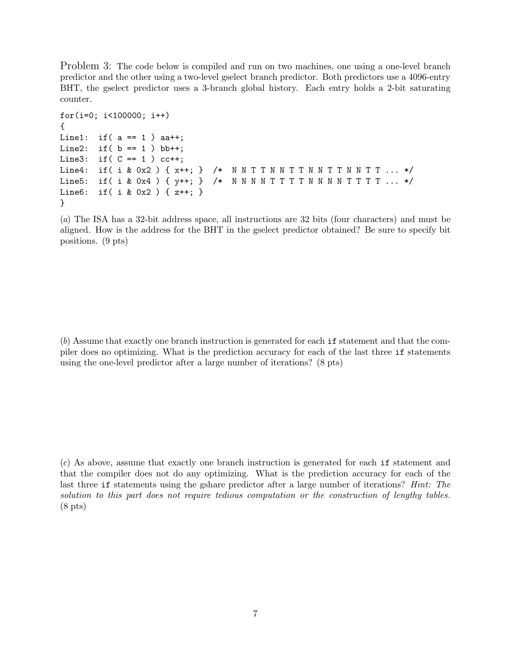Problem 3: The code below is compiled and run on two machines, one using a one-level branch predictor and the other using a two-level gselect branch predictor. Both predictors use a 4096-entry BHT, the gselect predictor uses a 3-branch global history. Each entry holds a 2-bit saturating counter.

```
for(i=0; i<100000; i++)
{
Line1: if(a == 1) aa++;
Line2: if( b == 1 ) bb++;Line3: if(C == 1) cc++;
Line4: if( i & 0x2 ) { x++; } /* N N T T N N T T N N T T N N T T ... */
Line5: if( i & 0x4 ) { y++; } /* N N N N T T T N N N N T T T T ... */
Line6: if( i & 0x2 ) { z++; }
}
```
(a) The ISA has a 32-bit address space, all instructions are 32 bits (four characters) and must be aligned. How is the address for the BHT in the gselect predictor obtained? Be sure to specify bit positions. (9 pts)

(b) Assume that exactly one branch instruction is generated for each if statement and that the compiler does no optimizing. What is the prediction accuracy for each of the last three if statements using the one-level predictor after a large number of iterations? (8 pts)

(c) As above, assume that exactly one branch instruction is generated for each if statement and that the compiler does not do any optimizing. What is the prediction accuracy for each of the last three if statements using the gshare predictor after a large number of iterations? Hint: The solution to this part does not require tedious computation or the construction of lengthy tables. (8 pts)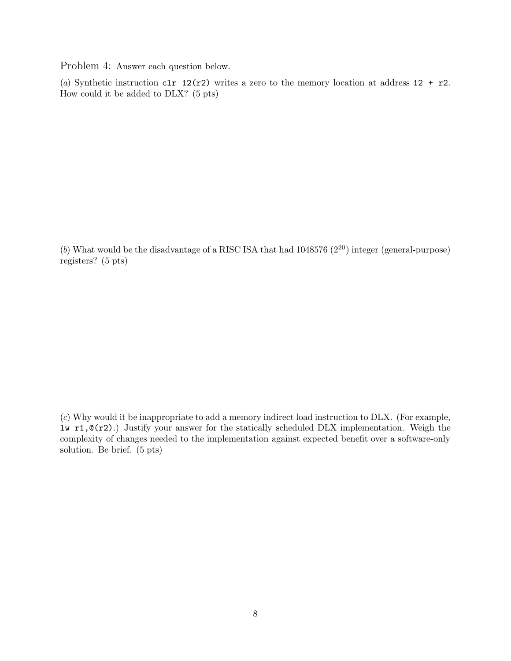Problem 4: Answer each question below.

(a) Synthetic instruction clr  $12(r2)$  writes a zero to the memory location at address  $12 + r2$ . How could it be added to DLX? (5 pts)

(b) What would be the disadvantage of a RISC ISA that had  $1048576 (2^{20})$  integer (general-purpose) registers? (5 pts)

(c) Why would it be inappropriate to add a memory indirect load instruction to DLX. (For example, lw r1,@(r2).) Justify your answer for the statically scheduled DLX implementation. Weigh the complexity of changes needed to the implementation against expected benefit over a software-only solution. Be brief. (5 pts)